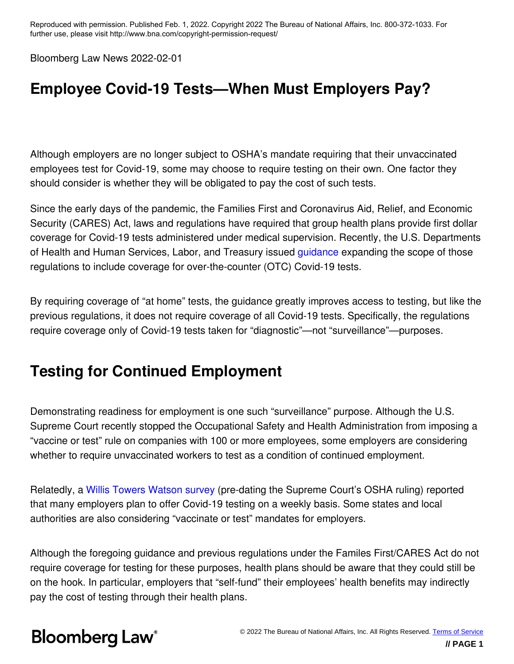Bloomberg Law News 2022-02-01

### **Employee Covid-19 Tests—When Must Employers Pay?**

Although employers are no longer subject to OSHA's mandate requiring that their unvaccinated employees test for Covid-19, some may choose to require testing on their own. One factor they should consider is whether they will be obligated to pay the cost of such tests.

Since the early days of the pandemic, the Families First and Coronavirus Aid, Relief, and Economic Security (CARES) Act, laws and regulations have required that group health plans provide first dollar coverage for Covid-19 tests administered under medical supervision. Recently, the U.S. Departments of Health and Human Services, Labor, and Treasury issued guidance expanding the scope of those regulations to include coverage for over-the-counter (OTC) Covid-19 tests.

By requiring coverage of "at home" tests, the guidance greatly improves access to testing, but like the previous regulations, it does not require coverage of all Covid-19 tests. Specifically, the regulations require coverage only of Covid-19 tests taken for "diagnostic"—not "surveillance"—purposes.

### **Testing for Continued Employment**

Demonstrating readiness for employment is one such "surveillance" purpose. Although the U.S. Supreme Court recently stopped the Occupational Safety and Health Administration from imposing a "vaccine or test" rule on companies with 100 or more employees, some employers are considering whether to require unvaccinated workers to test as a condition of continued employment.

Relatedly, a Willis Towers Watson survey (pre-dating the Supreme Court's OSHA ruling) reported that many employers plan to offer Covid-19 testing on a weekly basis. Some states and local authorities are also considering "vaccinate or test" mandates for employers.

Although the foregoing guidance and previous regulations under the Familes First/CARES Act do not require coverage for testing for these purposes, health plans should be aware that they could still be on the hook. In particular, employers that "self-fund" their employees' health benefits may indirectly pay the cost of testing through their health plans.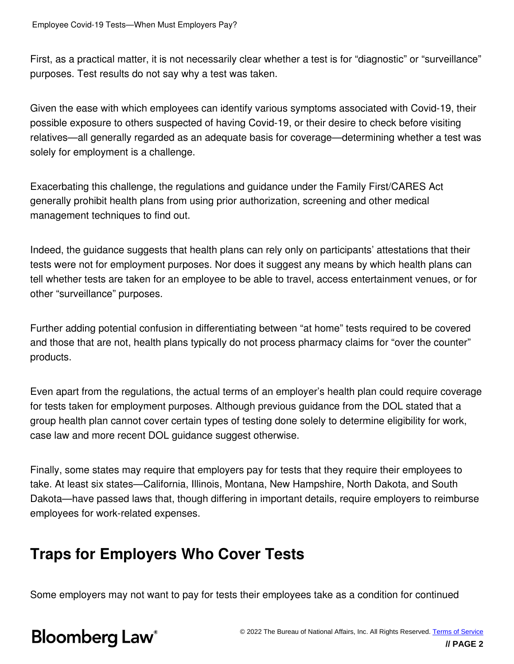First, as a practical matter, it is not necessarily clear whether a test is for "diagnostic" or "surveillance" purposes. Test results do not say why a test was taken.

Given the ease with which employees can identify various symptoms associated with Covid-19, their possible exposure to others suspected of having Covid-19, or their desire to check before visiting relatives—all generally regarded as an adequate basis for coverage—determining whether a test was solely for employment is a challenge.

Exacerbating this challenge, the regulations and guidance under the Family First/CARES Act generally prohibit health plans from using prior authorization, screening and other medical management techniques to find out.

Indeed, the guidance suggests that health plans can rely only on participants' attestations that their tests were not for employment purposes. Nor does it suggest any means by which health plans can tell whether tests are taken for an employee to be able to travel, access entertainment venues, or for other "surveillance" purposes.

Further adding potential confusion in differentiating between "at home" tests required to be covered and those that are not, health plans typically do not process pharmacy claims for "over the counter" products.

Even apart from the regulations, the actual terms of an employer's health plan could require coverage for tests taken for employment purposes. Although previous guidance from the DOL stated that a group health plan cannot cover certain types of testing done solely to determine eligibility for work, case law and more recent DOL guidance suggest otherwise.

Finally, some states may require that employers pay for tests that they require their employees to take. At least six states—California, Illinois, Montana, New Hampshire, North Dakota, and South Dakota—have passed laws that, though differing in important details, require employers to reimburse employees for work-related expenses.

#### **Traps for Employers Who Cover Tests**

Some employers may not want to pay for tests their employees take as a condition for continued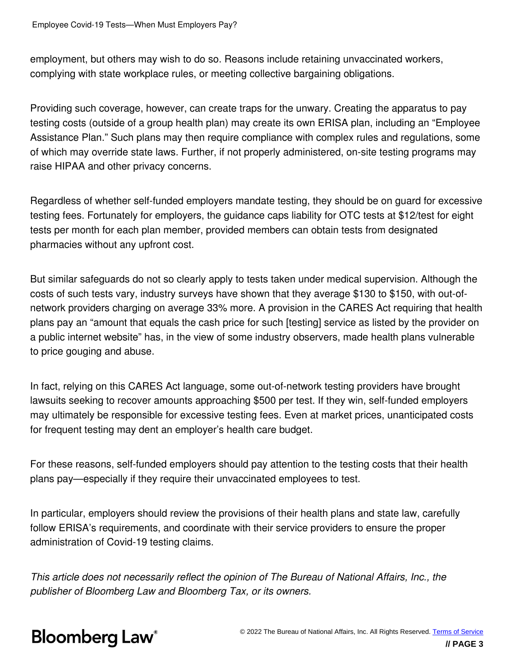employment, but others may wish to do so. Reasons include retaining unvaccinated workers, complying with state workplace rules, or meeting collective bargaining obligations.

Providing such coverage, however, can create traps for the unwary. Creating the apparatus to pay testing costs (outside of a group health plan) may create its own ERISA plan, including an "Employee Assistance Plan." Such plans may then require compliance with complex rules and regulations, some of which may override state laws. Further, if not properly administered, on-site testing programs may raise HIPAA and other privacy concerns.

Regardless of whether self-funded employers mandate testing, they should be on guard for excessive testing fees. Fortunately for employers, the guidance caps liability for OTC tests at \$12/test for eight tests per month for each plan member, provided members can obtain tests from designated pharmacies without any upfront cost.

But similar safeguards do not so clearly apply to tests taken under medical supervision. Although the costs of such tests vary, industry surveys have shown that they average \$130 to \$150, with out-ofnetwork providers charging on average 33% more. A provision in the CARES Act requiring that health plans pay an "amount that equals the cash price for such [testing] service as listed by the provider on a public internet website" has, in the view of some industry observers, made health plans vulnerable to price gouging and abuse.

In fact, relying on this CARES Act language, some out-of-network testing providers have brought lawsuits seeking to recover amounts approaching \$500 per test. If they win, self-funded employers may ultimately be responsible for excessive testing fees. Even at market prices, unanticipated costs for frequent testing may dent an employer's health care budget.

For these reasons, self-funded employers should pay attention to the testing costs that their health plans pay—especially if they require their unvaccinated employees to test.

In particular, employers should review the provisions of their health plans and state law, carefully follow ERISA's requirements, and coordinate with their service providers to ensure the proper administration of Covid-19 testing claims.

*This article does not necessarily reflect the opinion of The Bureau of National Affairs, Inc., the publisher of Bloomberg Law and Bloomberg Tax, or its owners.*